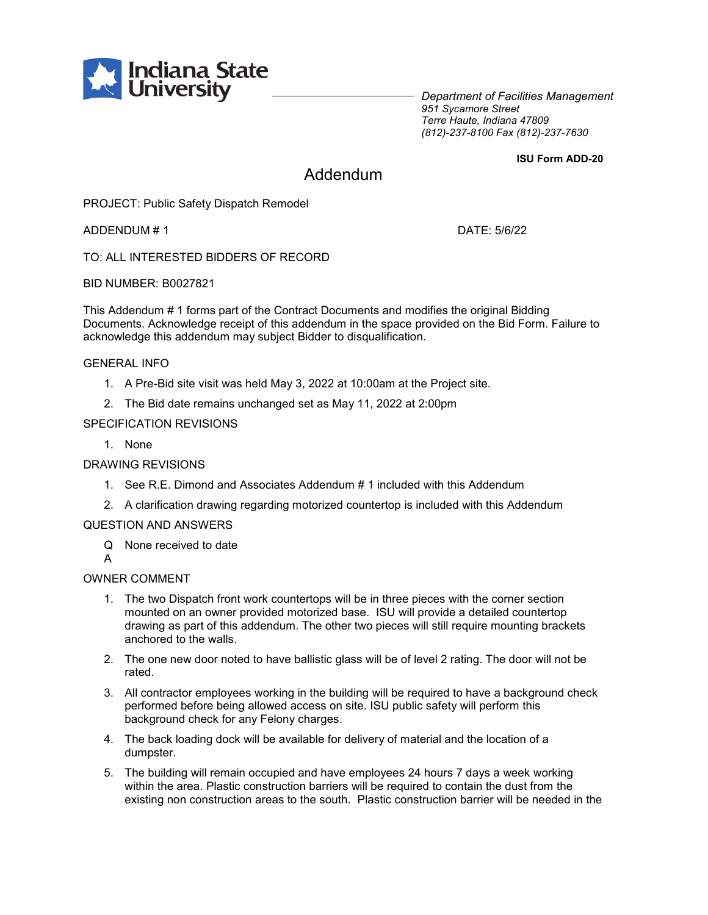

*Department of Facilities Management 951 Sycamore Street Terre Haute, Indiana 47809 (812)-237-8100 Fax (812)-237-7630*

**ISU Form ADD-20**

# Addendum

PROJECT: Public Safety Dispatch Remodel

ADDENDUM # 1 DATE: 5/6/22

TO: ALL INTERESTED BIDDERS OF RECORD

BID NUMBER: B0027821

This Addendum # 1 forms part of the Contract Documents and modifies the original Bidding Documents. Acknowledge receipt of this addendum in the space provided on the Bid Form. Failure to acknowledge this addendum may subject Bidder to disqualification.

#### GENERAL INFO

- 1. A Pre-Bid site visit was held May 3, 2022 at 10:00am at the Project site.
- 2. The Bid date remains unchanged set as May 11, 2022 at 2:00pm

### SPECIFICATION REVISIONS

1. None

#### DRAWING REVISIONS

- 1. See R.E. Dimond and Associates Addendum # 1 included with this Addendum
- 2. A clarification drawing regarding motorized countertop is included with this Addendum

#### QUESTION AND ANSWERS

- Q None received to date
- A

## OWNER COMMENT

- 1. The two Dispatch front work countertops will be in three pieces with the corner section mounted on an owner provided motorized base. ISU will provide a detailed countertop drawing as part of this addendum. The other two pieces will still require mounting brackets anchored to the walls.
- 2. The one new door noted to have ballistic glass will be of level 2 rating. The door will not be rated.
- 3. All contractor employees working in the building will be required to have a background check performed before being allowed access on site. ISU public safety will perform this background check for any Felony charges.
- 4. The back loading dock will be available for delivery of material and the location of a dumpster.
- 5. The building will remain occupied and have employees 24 hours 7 days a week working within the area. Plastic construction barriers will be required to contain the dust from the existing non construction areas to the south. Plastic construction barrier will be needed in the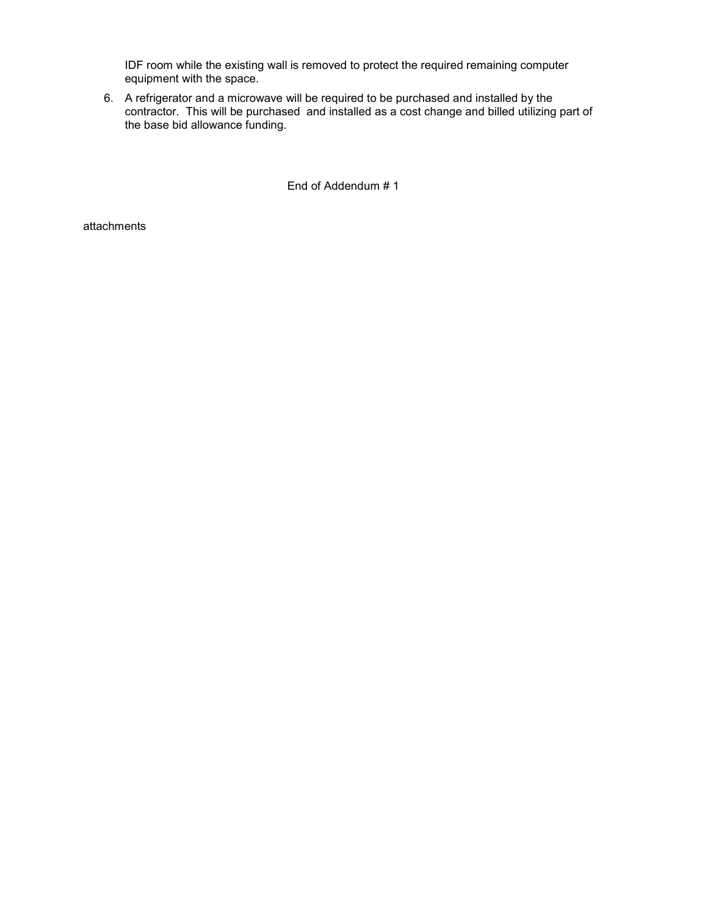IDF room while the existing wall is removed to protect the required remaining computer equipment with the space.

6. A refrigerator and a microwave will be required to be purchased and installed by the contractor. This will be purchased and installed as a cost change and billed utilizing part of the base bid allowance funding.

End of Addendum # 1

attachments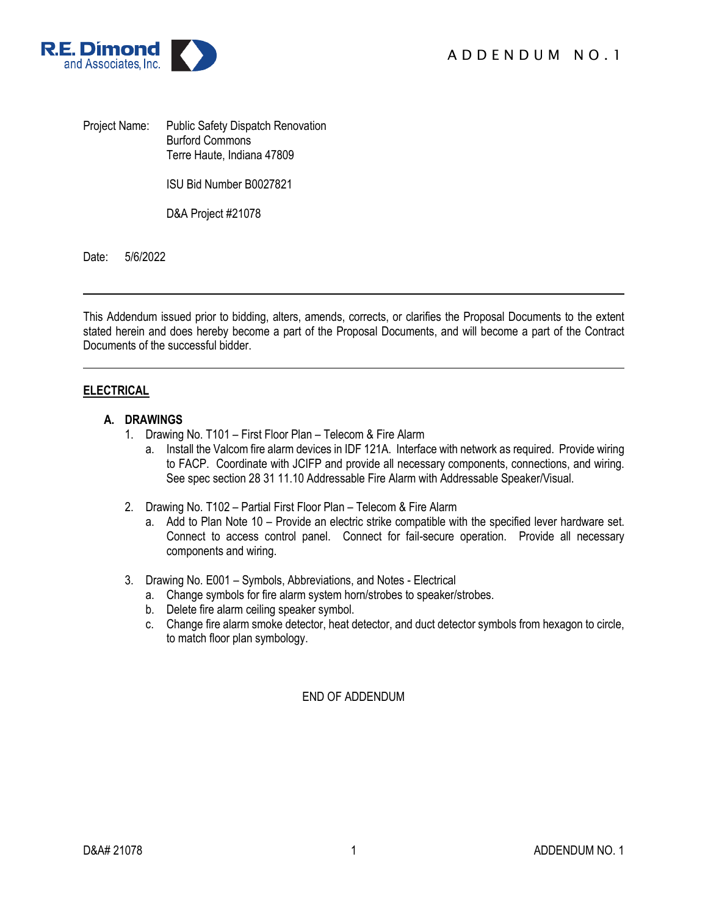

Project Name: Public Safety Dispatch Renovation Burford Commons Terre Haute, Indiana 47809

ISU Bid Number B0027821

D&A Project #21078

Date: 5/6/2022

This Addendum issued prior to bidding, alters, amends, corrects, or clarifies the Proposal Documents to the extent stated herein and does hereby become a part of the Proposal Documents, and will become a part of the Contract Documents of the successful bidder.

## **ELECTRICAL**

## **A. DRAWINGS**

- 1. Drawing No. T101 First Floor Plan Telecom & Fire Alarm
	- a. Install the Valcom fire alarm devices in IDF 121A. Interface with network as required. Provide wiring to FACP. Coordinate with JCIFP and provide all necessary components, connections, and wiring. See spec section 28 31 11.10 Addressable Fire Alarm with Addressable Speaker/Visual.
- 2. Drawing No. T102 Partial First Floor Plan Telecom & Fire Alarm
	- a. Add to Plan Note 10 Provide an electric strike compatible with the specified lever hardware set. Connect to access control panel. Connect for fail-secure operation. Provide all necessary components and wiring.
- 3. Drawing No. E001 Symbols, Abbreviations, and Notes Electrical
	- a. Change symbols for fire alarm system horn/strobes to speaker/strobes.
	- b. Delete fire alarm ceiling speaker symbol.
	- c. Change fire alarm smoke detector, heat detector, and duct detector symbols from hexagon to circle, to match floor plan symbology.

END OF ADDENDUM